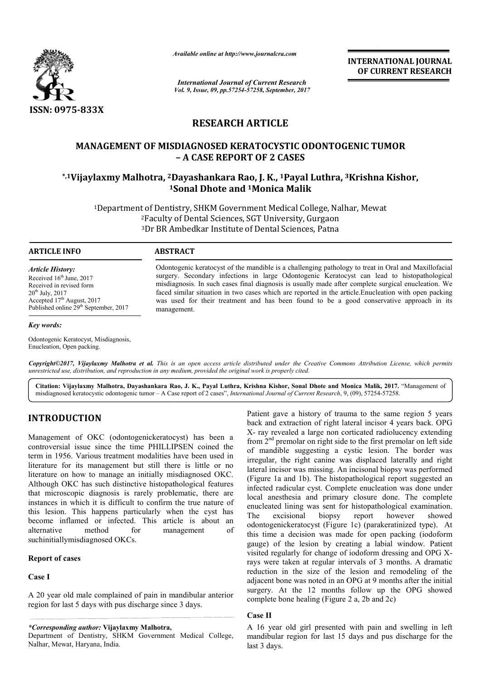

*Available online at http://www.journal http://www.journalcra.com*

*International Journal of Current Research Vol. 9, Issue, 09, pp.57254-57258, September, 2017* **INTERNATIONAL JOURNAL OF CURRENT RESEARCH** 

## **RESEARCH ARTICLE**

# **MANAGEMENT OF MISDIAGNOSED KERATOCYSTIC ODONTOGENIC TUMOR**  MANAGEMENT OF MISDIAGNOSED KERATOCYSTIC ODONTOGENIC TUMOR<br>A CASE REPORT OF 2 CASES –<br>IVijaylaxmy Malhotra, <sup>2</sup>Dayashankara Rao, J. K., <sup>1</sup>Payal Luthra, <sup>3</sup>Krishna Kishor,\* **– A CASE REPORT OF 2 CASES**

# **1Sonal Sonal Dhote and 1Monica Malik**

<sup>1</sup>Department of Dentistry, SHKM Government Medical College, Nalhar, Mewat<br><sup>2</sup>Faculty of Dental Sciences, SGT University, Gurgaon<sup>3</sup>Dr BR Ambedkar Institute of Dental Sciences, Patna 2Faculty of Dental Sciences, SGT University, Gurgaon 3Dr BR Ambedkar Institute of Dental Sciences, Patna

#### **ARTICLE INFO ABSTRACT**

*Article History:* Received 16<sup>th</sup> June, 2017 Received in revised form 20th July, 2017 Accepted 17<sup>th</sup> August, 2017 Published online 29<sup>th</sup> September, 2017

#### *Key words:*

Odontogenic Keratocyst, Misdiagnosis, Enucleation, Open packing.

Odontogenic keratocyst of the mandible is a challenging pathology to treat in Oral and Maxillofacial surgery. Secondary infections in large Odontogenic Keratocyst can lead to histopathological misdiagnosis. In such cases final diagnosis is usually made after complete surgical enucleation. We faced similar situation in two cases which are reported in the article. Enucleation with open packing was used for their treatment and has been found to be a good conservative approach in its management management. ogenic keratocyst of the mandible is a challenging pathology to treat in Oral and Maxillofacial<br>y. Secondary infections in large Odontogenic Keratocyst can lead to histopathological<br>ignosis. In such cases final diagnosis i

Copyright©2017, Vijaylaxmy Malhotra et al. This is an open access article distributed under the Creative Commons Attribution License, which permits *unrestricted use, distribution, and reproduction in any medium, provided the original work is properly cited.*

**Citation: Vijaylaxmy Malhotra, Dayashankara Rao Rao, J. K., Payal Luthra, Krishna Kishor, Sonal Dhote and Monica Malik Malik, 2017.** "Management of misdiagnosed keratocystic odontogenic tumor - A Case report of 2 cases", *International Journal of Current Research*, 9, (09), 57254-57258.

### **INTRODUCTION**

Management of OKC (odontogenickeratocyst) has been a controversial issue since the time PHILLIPSEN coined the term in 1956. Various treatment modalities have been used in literature for its management but still there is little or no literature on how to manage an initially misdiagnosed OKC. Although OKC has such distinctive histopathological features that microscopic diagnosis is rarely problematic, there are instances in which it is difficult to confirm the true nature of this lesion. This happens particularly when the cyst has become inflamed or infected. This article is about an alternative method for management of suchinitiallymisdiagnosed OKCs.

#### **Report of cases**

#### **Case I**

A 20 year old male complained of pain in mandibular anterior region for last 5 days with pus discharge since 3 days.

Department of Dentistry, SHKM Government Medical College, Nalhar, Mewat, Haryana, India.

**ION**<br>
Patient gave a history of trauma to the same region 5 years<br>
OKC (odontogenickeratocyst) has been a<br>  $X$ -ray revealed a large non corticated radiolucency extending<br>
e since the time PHILLIPSEN coined the<br>
irron 2<sup>n</sup> back and extraction of right lateral incisor 4 years back. OPG X- ray revealed a large non corticated radiolucency extending from 2<sup>nd</sup> premolar on right side to the first premolar on left side of mandible suggesting a cystic lesion. The border was irregular, the right canine was displaced laterally and right lateral incisor was missing. An incisonal biopsy was performed (Figure 1a and 1b). The histopathological report suggested an infected radicular cyst. Complete enucleation was done under local anesthesia and primary closure done. The complete local anesthesia and primary closure done. The complete enucleated lining was sent for histopathological examination. The excisional biopsy report however odontogenickeratocyst (Figure 1c) (parakeratinized type). At this time a decision was made for open packing (iodoform gauge) of the lesion by creating a labial window. Patient visited regularly for change of iodoform dressing and OPG X rays were taken at regular intervals of 3 months. A dramatic reduction in the size of the lesion and remodeling of the adjacent bone was noted in an OPG at 9 months after the initial surgery. At the 12 months follow up the OPG showed complete bone healing (Figure 2 a, 2b and 2c) Patient gave a history of trauma to the same region 5 years back. OPG X- ray revealed a large non corticated radiolucency extending from  $2<sup>nd</sup>$  premolar on right side to the first premolar on left side of mandible sug showed e a decision was made for open packing (iodoform<br>of the lesion by creating a labial window. Patient<br>regularly for change of iodoform dressing and OPG Xwere taken at regular intervals of 3 months. A dramatic luction in the size of the lesion and remodeling of the acent bone was noted in an OPG at 9 months after the initial gery. At the 12 months follow up the OPG showed **INTERNATIONAL JOURNAL OF CURRENT RESEARCH CONTINUME CONTINUME CONTINUME (SCENDING)<br>
<b>EXECUTE CONTINUME (SCENDING)**<br> **EXECUTE CONTINUME (SCENDING)**<br> **EXECUTE CONTINUME (SCENDING)**<br> **EXECUTE CONTINUME (SCENDING)**<br> **EXECUTE** 

#### **Case II**

A 16 year old girl presented with pain and swellin mandibular region for last 15 days and pus discharge for the last 3 days.

*<sup>\*</sup>Corresponding author:* **Vijaylaxmy Malhotra,**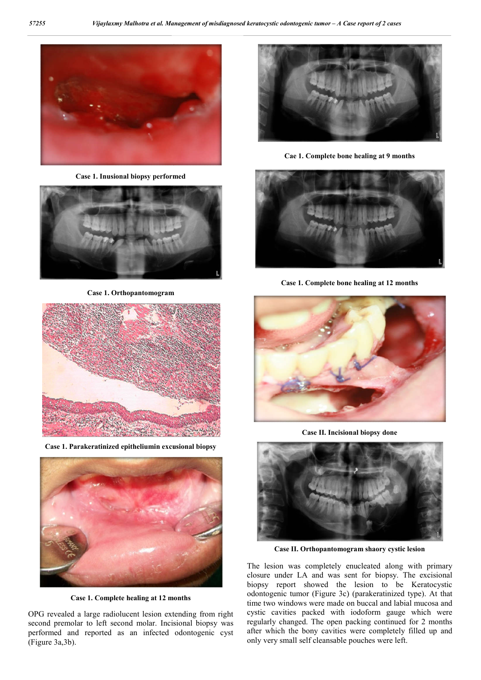

**Case 1. Inusional biopsy performed**



**Case 1. Orthopantomogram**



**Case 1. Parakeratinized epitheliumin excusional biopsy**



**Case 1. Complete healing at 12 months**

OPG revealed a large radiolucent lesion extending from right second premolar to left second molar. Incisional biopsy was performed and reported as an infected odontogenic cyst (Figure 3a,3b).





**Case 1. Complete bone healing** 



**Case II. Incisional biopsy done**



**Case II. Orthopantomogram shaory cystic les lesion**

The lesion was completely enucleated along with primary closure under LA and was sent for biopsy. The excisional biopsy report showed the lesion to be Keratocystic odontogenic tumor (Figure 3c) (parakeratinized type). At that time two windows were made on buccal and labial mucosa and cystic cavities packed with iodoform gauge which were regularly changed. The open packing continued for 2 months after which the bony cavities were completely filled up and only very small self cleansable pouches were left. lesion was completely enucleated along with primary re under LA and was sent for biopsy. The excisional vy report showed the lesion to be Keratocystic togenic tumor (Figure 3c) (parakeratinized type). At that two windows w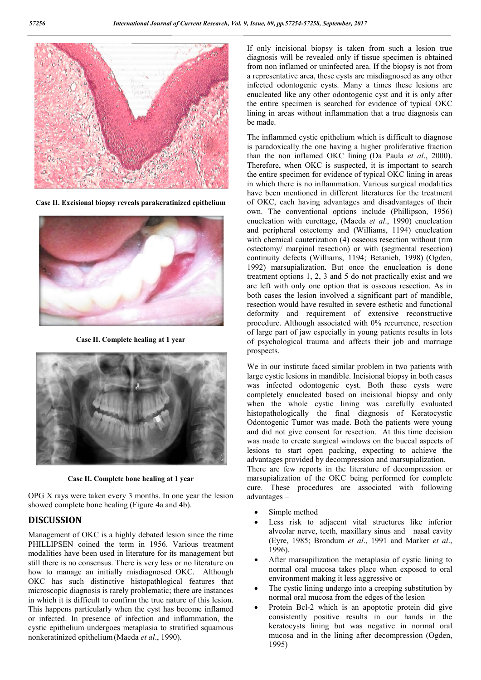

**Case II. Excisional biopsy reveals parakeratinized epithelium**



**Case II. Complete healing at 1 year**



**Case II. Complete bone healing at 1 year**

OPG X rays were taken every 3 months. In one year the lesion showed complete bone healing (Figure 4a and 4b).

#### **DISCUSSION**

Management of OKC is a highly debated lesion since the time PHILLIPSEN coined the term in 1956. Various treatment modalities have been used in literature for its management but still there is no consensus. There is very less or no literature on how to manage an initially misdiagnosed OKC. Although OKC has such distinctive histopathlogical features that microscopic diagnosis is rarely problematic; there are instances in which it is difficult to confirm the true nature of this lesion. This happens particularly when the cyst has become inflamed or infected. In presence of infection and inflammation, the cystic epithelium undergoes metaplasia to stratified squamous This happens particularly when the cyst has bor infected. In presence of infection and integration cystic epithelium undergoes metaplasia to strand nonkeratinized epithelium (Maeda *et al.*, 1990).

If only incisional biopsy is taken from such a lesion true diagnosis will be revealed only if tissue specimen is obtained from non inflamed or uninfected area. If the biopsy is not from a representative area, these cysts are misdiagnosed as any other infected odontogenic cysts. Many a times these lesions are enucleated like any other odontogenic cyst and it is only after the entire specimen is searched for evidence of typical OKC lining in areas without inflammation that a true diagnosis can be made. hy incisional biopsy is taken from such a lesion true nosis will be revealed only if tissue specimen is obtained non inflamed or uninfected area. If the biopsy is not from resentative area, these cysts are misdiagnosed as

The inflammed cystic epithelium which is difficult to diagnose is paradoxically the one having a higher proliferative fraction than the non inflamed OKC lining (Da Paula et al., 2000). Therefore, when OKC is suspected, it is important to search the entire specimen for evidence of typical OKC lining in areas in which there is no inflammation. Various surgical modalities have been mentioned in different literatures for the treatment of OKC, each having advantages and disadvantages of their Therefore, when OKC is suspected, it is important to search<br>the entire specimen for evidence of typical OKC lining in areas<br>in which there is no inflammation. Various surgical modalities<br>have been mentioned in different li enucleation with curettage, (Maeda et al., 1990) enucleation and peripheral ostectomy and (Williams, 1194) enucleation with chemical cauterization (4) osseous resection without (rim ostectomy/ marginal resection) or with (segmental resection) continuity defects (Williams, 1194; Betanieh, 1998) (Ogden, 1992) marsupialization. But once the enucleation is done treatment options 1, 2, 3 and 5 do not practically exist and we are left with only one option that is osseous resection. As in both cases the lesion involved a significant part of mandible, resection would have resulted in severe esthetic and functional deformity and requirement of extensive reconstructive procedure. Although associated with 0% recurrence, resection of large part of jaw especially in young patients results in lots of psychological trauma and affects their job and marriage prospects. (rim ) or with (segmental resection)<br>1194; Betanieh, 1998) (Ogden, 1992) marsupialization. But once the enucleation is done<br>treatment options 1, 2, 3 and 5 do not practically exist and we<br>are left with only one option that is osseous resection. As in<br>both cases the lesion involved a signi

We in our institute faced similar problem in two patients with large cystic lesions in mandible. Incisional biopsy in both cases was infected odontogenic cyst. Both these cysts were completely enucleated based on incisional biopsy and only when the whole cystic lining was carefully evaluated histopathologically the final diagnosis of Keratocystic Odontogenic Tumor was made. Both the patients were young and did not give consent for resection. At this time decision was made to create surgical windows on the buccal aspects of lesions to start open packing, expecting to achieve the advantages provided by decompression and marsupialization.

There are few reports in the literature of decompression or marsupialization of the OKC being performed for complete cure. These procedures are associated with following advantages – is to start open packing, expecting to achieve the ages provided by decompression and marsupialization.<br>are few reports in the literature of decompression or pialization of the OKC being performed for complete These proced

- Simple method
- Less risk to adjacent vital structures like inferior (Eyre, 1985; Brondum *et al*., 1991 and Marker *et al*., 1996).
- After marsupilization the metaplasia of cystic lining to normal oral mucosa takes place when exposed to oral environment making it less aggressive or
- The cystic lining undergo into a creeping substitution by normal oral mucosa from the edges of the lesion
- Protein Bcl-2 which is an apoptotic protein did give consistently positive results in our hands in the keratocysts lining but was negative in normal oral mucosa and in the lining after decompression (Ogden, 1995) After marsupilization the metaplasia of cystic lining to<br>normal oral mucosa takes place when exposed to oral<br>environment making it less aggressive or<br>The cystic lining undergo into a creeping substitution by<br>normal oral mu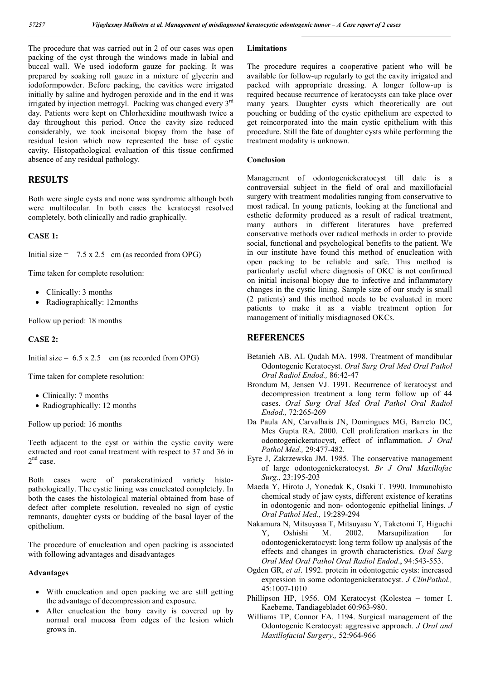The procedure that was carried out in 2 of our cases was open packing of the cyst through the windows made in labial and buccal wall. We used iodoform gauze for packing. It was prepared by soaking roll gauze in a mixture of glycerin and iodoformpowder. Before packing, the cavities were irrigated initially by saline and hydrogen peroxide and in the end it was irrigated by injection metrogyl. Packing was changed every 3rd day. Patients were kept on Chlorhexidine mouthwash twice a day throughout this period. Once the cavity size reduced considerably, we took incisonal biopsy from the base of residual lesion which now represented the base of cystic cavity. Histopathological evaluation of this tissue confirmed absence of any residual pathology.

#### **RESULTS**

Both were single cysts and none was syndromic although both were multilocular. In both cases the keratocyst resolved completely, both clinically and radio graphically.

#### **CASE 1:**

Initial size =  $7.5 \times 2.5$  cm (as recorded from OPG)

Time taken for complete resolution:

- Clinically: 3 months
- Radiographically: 12months

Follow up period: 18 months

#### **CASE 2:**

Initial size =  $6.5 \times 2.5$  cm (as recorded from OPG)

Time taken for complete resolution:

- Clinically: 7 months
- Radiographically: 12 months

Follow up period: 16 months

Teeth adjacent to the cyst or within the cystic cavity were extracted and root canal treatment with respect to 37 and 36 in  $2<sup>nd</sup>$  case.

Both cases were of parakeratinized variety histopathologically. The cystic lining was enucleated completely. In both the cases the histological material obtained from base of defect after complete resolution, revealed no sign of cystic remnants, daughter cysts or budding of the basal layer of the epithelium.

The procedure of enucleation and open packing is associated with following advantages and disadvantages

#### **Advantages**

- With enucleation and open packing we are still getting the advantage of decompression and exposure.
- After enucleation the bony cavity is covered up by normal oral mucosa from edges of the lesion which grows in.

#### **Limitations**

The procedure requires a cooperative patient who will be available for follow-up regularly to get the cavity irrigated and packed with appropriate dressing. A longer follow-up is required because recurrence of keratocysts can take place over many years. Daughter cysts which theoretically are out pouching or budding of the cystic epithelium are expected to get reincorporated into the main cystic epithelium with this procedure. Still the fate of daughter cysts while performing the treatment modality is unknown.

#### **Conclusion**

Management of odontogenickeratocyst till date is a controversial subject in the field of oral and maxillofacial surgery with treatment modalities ranging from conservative to most radical. In young patients, looking at the functional and esthetic deformity produced as a result of radical treatment, many authors in different literatures have preferred conservative methods over radical methods in order to provide social, functional and psychological benefits to the patient. We in our institute have found this method of enucleation with open packing to be reliable and safe. This method is particularly useful where diagnosis of OKC is not confirmed on initial incisonal biopsy due to infective and inflammatory changes in the cystic lining. Sample size of our study is small (2 patients) and this method needs to be evaluated in more patients to make it as a viable treatment option for management of initially misdiagnosed OKCs.

#### **REFERENCES**

- Betanieh AB. AL Qudah MA. 1998. Treatment of mandibular Odontogenic Keratocyst. *Oral Surg Oral Med Oral Pathol Oral Radiol Endod.,* 86:42-47
- Brondum M, Jensen VJ. 1991. Recurrence of keratocyst and decompression treatment a long term follow up of 44 cases. *Oral Surg Oral Med Oral Pathol Oral Radiol Endod.,* 72:265-269
- Da Paula AN, Carvalhais JN, Domingues MG, Barreto DC, Mes Gupta RA. 2000. Cell proliferation markers in the odontogenickeratocyst, effect of inflammation. *J Oral Pathol Med.,* 29:477-482.
- Eyre J, Zakrzewska JM. 1985. The conservative management of large odontogenickeratocyst. *Br J Oral Maxillofac Surg.,* 23:195-203
- Maeda Y, Hiroto J, Yonedak K, Osaki T. 1990. Immunohisto chemical study of jaw cysts, different existence of keratins in odontogenic and non- odontogenic epithelial linings. *J Oral Pathol Med.,* 19:289-294
- Nakamura N, Mitsuyasa T, Mitsuyasu Y, Taketomi T, Higuchi Y, Oshishi M. 2002. Marsupilization for odontogenickeratocyst: long term follow up analysis of the effects and changes in growth characteristics. *Oral Surg Oral Med Oral Pathol Oral Radiol Endod*., 94:543-553.
- Ogden GR, *et al*. 1992. protein in odontogenic cysts: increased expression in some odontogenickeratocyst. *J ClinPathol.,* 45:1007-1010
- Phillipson HP, 1956. OM Keratocyst (Kolestea tomer I. Kaebeme, Tandiagebladet 60:963-980.
- Williams TP, Connor FA. 1194. Surgical management of the Odontogenic Keratocyst: aggressive approach. *J Oral and Maxillofacial Surgery.,* 52:964-966